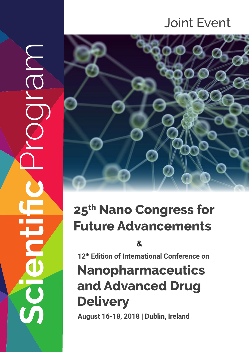# Joint Event



# **25th Nano Congress for Future Advancements**

**Scientific** Program

 $\overline{\mathbb{C}}$ 

**12th Edition of International Conference on**

# **Nanopharmaceutics and Advanced Drug Delivery** <sup>8</sup><br>
August 12<sup>th</sup> Edition of International Conferent<br> **August 16-18, 2018 | Dublin, Ireland**<br> **August 16-18, 2018 | Dublin, Ireland**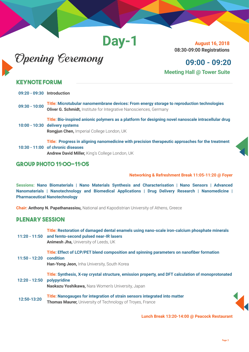**Day-1**



 **August 16, 2018 08:30-09:00 Registrations**

#### **09:00 - 09:20 Meeting Hall @ Tower Suite**

#### **Keynote Forum**

conferenceseries.com

| 09:20 - 09:30 Introduction |                                                                                                                                                                                      |
|----------------------------|--------------------------------------------------------------------------------------------------------------------------------------------------------------------------------------|
| $09:30 - 10:00$            | Title: Microtubular nanomembrane devices: From energy storage to reproduction technologies<br><b>Oliver G. Schmidt, Institute for Integrative Nanosciences, Germany</b>              |
|                            | Title: Bio-inspired anionic polymers as a platform for designing novel nanoscale intracellular drug<br>$10:00 - 10:30$ delivery systems<br>Rongjun Chen, Imperial College London, UK |
|                            | Title: Progress in aligning nanomedicine with precision therapeutic approaches for the treatment<br>10:30 - 11:00 of chronic diseases                                                |

**Andrew David Miller,** King's College London, UK



#### **Group Photo 11:00-11:05**

**Networking & Refreshment Break 11:05-11:20 @ Foyer**

**Sessions: Nano Biomaterials | Nano Materials Synthesis and Characterisation | Nano Sensors | Advanced Nanomaterials | Nanotechnology and Biomedical Applications | Drug Delivery Research | Nanomedicine | Pharmaceutical Nanotechnology** 

**Chair: Anthony N. Papathanassiou,** National and Kapodistrian University of Athens, Greece

#### **Plenary Session**

|                         | Title: Restoration of damaged dental enamels using nano-scale iron-calcium phosphate minerals<br>11:20 - 11:50 and femto-second pulsed near-IR lasers<br>Animesh Jha, University of Leeds, UK |
|-------------------------|-----------------------------------------------------------------------------------------------------------------------------------------------------------------------------------------------|
| 11:50 - 12:20 condition | Title: Effect of LCP/PET blend composition and spinning parameters on nanofiber formation<br>Han-Yong Jeon, Inha University, South Korea                                                      |
| 12:20 - 12:50           | Title: Synthesis, X-ray crystal structure, emission property, and DFT calculation of monoprotonated<br>polypyridine<br>Naokazu Yoshikawa, Nara Women's University, Japan                      |
| 12:50-13:20             | Title: Nanogauges for integration of strain sensors integrated into matter<br><b>Thomas Maurer, University of Technology of Troyes, France</b>                                                |

 **Lunch Break 13:20-14:00 @ Peacock Restaurant**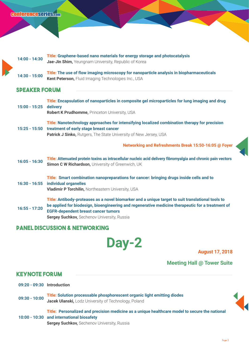| $14:00 - 14:30$ | Title: Graphene-based nano materials for energy storage and photocatalysis |
|-----------------|----------------------------------------------------------------------------|
|                 | Jae-Jin Shim, Yeungnam University, Republic of Korea                       |
|                 |                                                                            |

**14:30 - 15:00 Title: The use of flow imaging microscopy for nanoparticle analysis in biopharmaceuticals Kent Peterson,** Fluid Imaging Technologies Inc., USA

#### **Speaker forum**

| 15:00 - 15:25   | Title: Encapsulation of nanoparticles in composite gel microparticles for lung imaging and drug<br>delivery<br>Robert K Prudhomme, Princeton University, USA                                                                                                                                               |
|-----------------|------------------------------------------------------------------------------------------------------------------------------------------------------------------------------------------------------------------------------------------------------------------------------------------------------------|
|                 | Title: Nanotechnology approaches for intensifying localized combination therapy for precision<br>15:25 - 15:50 treatment of early stage breast cancer<br><b>Patrick J Sinko, Rutgers, The State University of New Jersey, USA</b>                                                                          |
|                 | Networking and Refreshments Break 15:50-16:05 @ Foyer                                                                                                                                                                                                                                                      |
| $16:05 - 16:30$ | Title: Attenuated protein toxins as intracellular nucleic acid delivery fibromyalgia and chronic pain vectors<br>Simon C W Richardson, University of Greenwich, UK                                                                                                                                         |
|                 | Title: Smart combination nanopreparations for cancer: bringing drugs inside cells and to<br>16:30 - 16:55 individual organelles<br>Vladimir P Torchilin, Northeastern University, USA                                                                                                                      |
| $16:55 - 17:20$ | Title: Antibody-proteases as a novel biomarker and a unique target to suit translational tools to<br>be applied for biodesign, bioengineering and regenerative medicine therapeutic for a treatment of<br><b>EGFR-dependent breast cancer tumors</b><br><b>Sergey Suchkov, Sechenov University, Russia</b> |

#### **Panel Discussion & Networking**

**Day-2** August 17, 2018

**Meeting Hall @ Tower Suite** 

#### **Keynote Forum**

- **09:20 09:30 Introduction**
- **09:30 10:00 Title: Solution processable phosphorescent organic light emitting diodes Jacek Ulanski,** Lodz University of Technology, Poland

**10:00 - 10:30 and international biosafety Title: Personalized and precision medicine as a unique healthcare model to secure the national** 

**Sergey Suchkov, Sechenov University, Russia**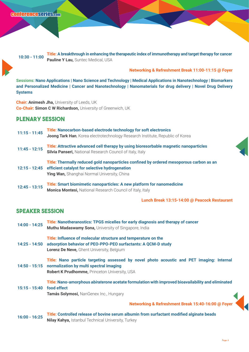**10:30 - 11:00 Title: A breakthrough in enhancing the therapeutic index of immunotherapy and target therapy for cancer Pauline Y Lau, Suntec Medical, USA** 

#### **Networking & Refreshment Break 11:00-11:15 @ Foyer**

**Sessions: Nano Applications | Nano Science and Technology | Medical Applications in Nanotechnology | Biomarkers and Personalized Medicine | Cancer and Nanotechnology | Nanomaterials for drug delivery | Novel Drug Delivery Systems** 

**Chair: Animesh Jha,** University of Leeds, UK **Co-Chair: Simon C W Richardson,** University of Greenwich, UK

#### **Plenary Session**

| $11:15 - 11:45$ | Title: Nanocarbon-based electrode technology for soft electronics<br>Joong Tark Han, Korea electrotechnology Research Institute, Republic of Korea                                                            |  |
|-----------------|---------------------------------------------------------------------------------------------------------------------------------------------------------------------------------------------------------------|--|
| $11:45 - 12:15$ | Title: Attractive advanced cell therapy by using bioresorbable magnetic nanoparticles<br><b>Silvia Panseri, National Research Council of Italy, Italy</b>                                                     |  |
|                 | Title: Thermally reduced gold nanoparticles confined by ordered mesoporous carbon as an<br>12:15 - 12:45 efficient catalyst for selective hydrogenation<br><b>Ying Wan, Shanghai Normal University, China</b> |  |
| $12:45 - 13:15$ | Title: Smart biomimetic nanoparticles: A new platform for nanomedicine<br><b>Monica Montesi, National Research Council of Italy, Italy</b>                                                                    |  |

**Lunch Break 13:15-14:00 @ Peacock Restaurant**

#### **Speaker Session**

**14:00 - 14:25 Title: Nanotheranostics: TPGS micelles for early diagnosis and therapy of cancer Muthu Madaswamy Sona,** University of Singapore, India

**14:25 - 14:50 adsorption behavior of PEO-PPO-PEO surfactants: A QCM-D study Title: Influence of molecular structure and temperature on the Lorenz De Neve,** Ghent University, Belgium

**14:50 - 15:15 normalization by multi spectral imaging Title: Nano particle targeting assessed by novel photo acoustic and PET imaging: Internal Robert K Prudhomme,** Princeton University, USA

**15:15 - 15:40 food effect Title: Nano-amorphous** *abiraterone* **acetate formulation with improved bioavailability and eliminated** 

**Tamás Solymosi,** NanGenex Inc., Hungary

**Networking & Refreshment Break 15:40-16:00 @ Foyer**

**16:00 - 16:25 Title: Controlled release of bovine serum albumin from surfactant modified alginate beads Nilay Kahya,** Istanbul Technical University, Turkey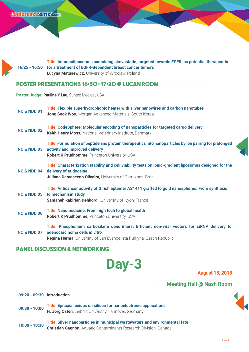

#### **Poster Presentations 16:50-17:20 @ Lucan Room**

**Poster Judge: Pauline Y Lau,** Suntec Medical, USA

| <b>NC &amp; NDD 01</b> | Title: Flexible superhydrophobic heater with silver nanowires and carbon nanotubes<br>Jong Seok Woo, Morgan Advanced Materials, South Korea                                                     |
|------------------------|-------------------------------------------------------------------------------------------------------------------------------------------------------------------------------------------------|
| <b>NC &amp; NDD 02</b> | Title: CodeSphere: Molecular encoding of nanoparticles for targeted cargo delivery<br>Keith Henry Moss, National Veterinary Institute, Denmark                                                  |
| <b>NC &amp; NDD 03</b> | Title: Formulation of peptide and protein therapeutics into nanoparticles by ion pairing for prolonged<br>activity and improved delivery<br>Robert K Prudhomme, Princeton University, USA       |
| <b>NC &amp; NDD 04</b> | Title: Characterization stability and cell viability tests on ionic-gradient liposomes designed for the<br>delivery of etidocaine<br>Juliana Damasceno Oliveira, University of Campinas, Brazil |
| <b>NC &amp; NDD 05</b> | Title: Anticancer activity of G rich aptamer AS1411 grafted to gold nanospheres: From synthesis<br>to mechanism study<br>Samaneh kabirian Dehkordi, University of Lyon, France                  |
| <b>NC &amp; NDD 06</b> | Title: Nanomedicine: From high tech to global health<br><b>Robert K Prudhomme, Princeton University, USA</b>                                                                                    |
| <b>NC &amp; NDD 07</b> | Title: Phosphonium carbosilane dendrimers: Efficient non-viral vectors for siRNA delivery to<br>adenocarcinoma cells in vitro                                                                   |

**Regina Herma,** University of Jan Evangelista Purkyna, Czech Republic

#### **Panel Discussion & Networking**

**Day-3** August 18, 2018

#### **Meeting Hall @ Nash Room**

**09:20 - 09:30 Introduction**

- **09:30 10:00 Title: Epitaxial oxides on silicon for nanoelectronic applications H. Jörg Osten,** Leibniz University Hannover, Germany
- **10:00 10:30 Title: Silver nanoparticles in municipal wastewaters and environmental fate Christian Gagnon,** Aquatic Contaminants Research Division, Canada